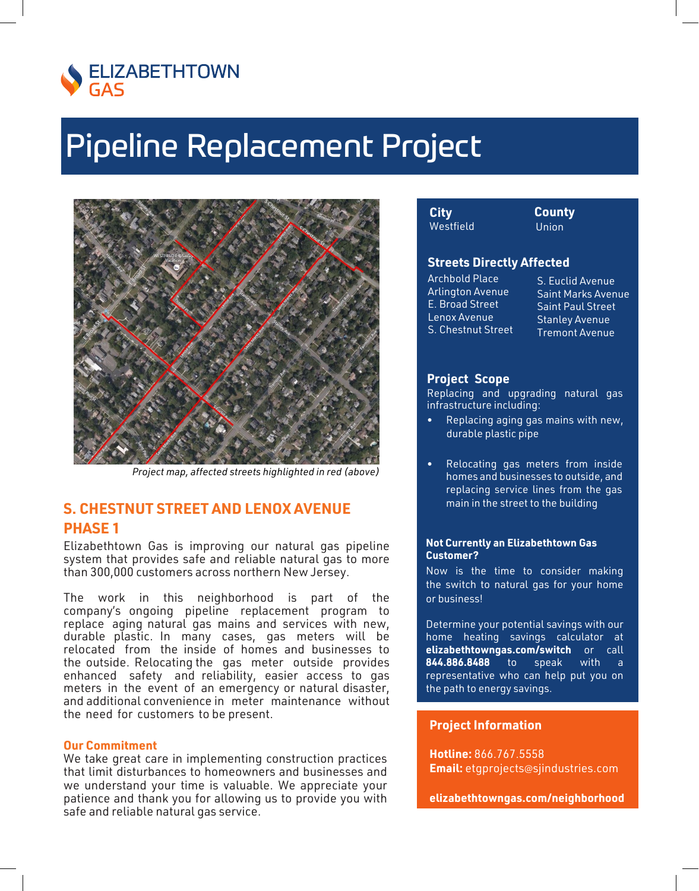

# **Pipeline Replacement Project**



Project map, affected streets highlighted in red (above)

# **S. CHESTNUT STREET AND LENOX AVENUE PHASE 1**

Elizabethtown Gas is improving our natural gas pipeline system that provides safe and reliable natural gas to more than 300,000 customers across northern New Jersey.

The work in this neighborhood is part of the company's ongoing pipeline replacement program to replace aging natural gas mains and services with new, durable plastic. In many cases, gas meters will be relocated from the inside of homes and businesses to the outside. Relocating the gas meter outside provides enhanced safety and reliability, easier access to gas meters in the event of an emergency or natural disaster, and additional convenience in meter maintenance without the need for customers to be present.

## **Our Commitment**

We take great care in implementing construction practices that limit disturbances to homeowners and businesses and we understand your time is valuable. We appreciate your patience and thank you for allowing us to provide you with safe and reliable natural gas service.

| City      | Cou  |
|-----------|------|
| Vestfield | Unio |
|           |      |

# **Streets Directly Affected**

Archbold Place **Arlington Avenue** E. Broad Street Lenox Avenue S. Chestnut Street

S. Euclid Avenue **Saint Marks Avenue Saint Paul Street Stanley Avenue Tremont Avenue** 

nty 'n

## **Project Scope**

Replacing and upgrading natural gas infrastructure including:

- Replacing aging gas mains with new, durable plastic pipe
- Relocating gas meters from inside homes and businesses to outside, and replacing service lines from the gas main in the street to the building

## **Not Currently an Elizabethtown Gas Customer?**

Now is the time to consider making the switch to natural gas for your home or business!

Determine your potential savings with our home heating savings calculator at elizabethtowngas.com/switch or call 844.886.8488  $to$ speak with a representative who can help put you on the path to energy savings.

## **Project Information**

Hotline: 866.767.5558 **Email:** etgprojects@sjindustries.com

elizabethtowngas.com/neighborhood